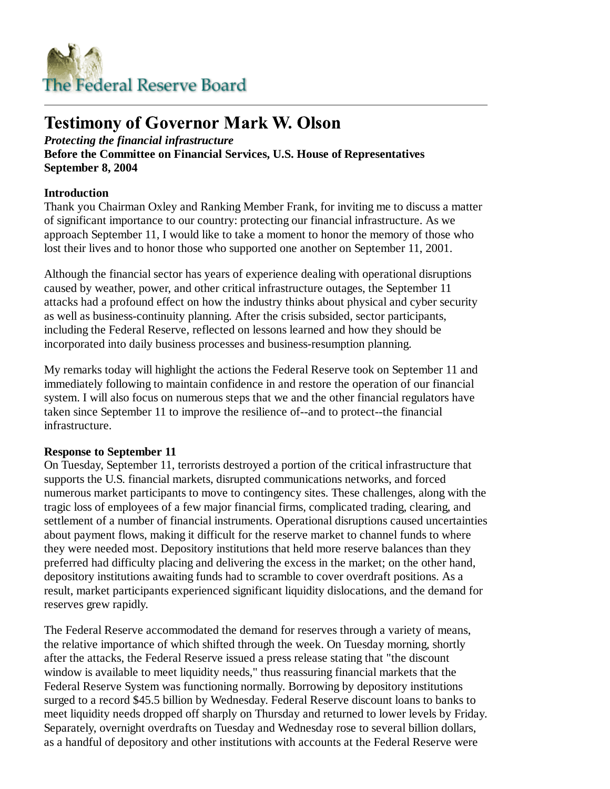

# **Testimony of Governor Mark W. Olson**

*Protecting the financial infrastructure* **Before the Committee on Financial Services, U.S. House of Representatives September 8, 2004**

## **Introduction**

Thank you Chairman Oxley and Ranking Member Frank, for inviting me to discuss a matter of significant importance to our country: protecting our financial infrastructure. As we approach September 11, I would like to take a moment to honor the memory of those who lost their lives and to honor those who supported one another on September 11, 2001.

Although the financial sector has years of experience dealing with operational disruptions caused by weather, power, and other critical infrastructure outages, the September 11 attacks had a profound effect on how the industry thinks about physical and cyber security as well as business-continuity planning. After the crisis subsided, sector participants, including the Federal Reserve, reflected on lessons learned and how they should be incorporated into daily business processes and business-resumption planning.

My remarks today will highlight the actions the Federal Reserve took on September 11 and immediately following to maintain confidence in and restore the operation of our financial system. I will also focus on numerous steps that we and the other financial regulators have taken since September 11 to improve the resilience of--and to protect--the financial infrastructure.

#### **Response to September 11**

On Tuesday, September 11, terrorists destroyed a portion of the critical infrastructure that supports the U.S. financial markets, disrupted communications networks, and forced numerous market participants to move to contingency sites. These challenges, along with the tragic loss of employees of a few major financial firms, complicated trading, clearing, and settlement of a number of financial instruments. Operational disruptions caused uncertainties about payment flows, making it difficult for the reserve market to channel funds to where they were needed most. Depository institutions that held more reserve balances than they preferred had difficulty placing and delivering the excess in the market; on the other hand, depository institutions awaiting funds had to scramble to cover overdraft positions. As a result, market participants experienced significant liquidity dislocations, and the demand for reserves grew rapidly.

The Federal Reserve accommodated the demand for reserves through a variety of means, the relative importance of which shifted through the week. On Tuesday morning, shortly after the attacks, the Federal Reserve issued a press release stating that "the discount window is available to meet liquidity needs," thus reassuring financial markets that the Federal Reserve System was functioning normally. Borrowing by depository institutions surged to a record \$45.5 billion by Wednesday. Federal Reserve discount loans to banks to meet liquidity needs dropped off sharply on Thursday and returned to lower levels by Friday. Separately, overnight overdrafts on Tuesday and Wednesday rose to several billion dollars, as a handful of depository and other institutions with accounts at the Federal Reserve were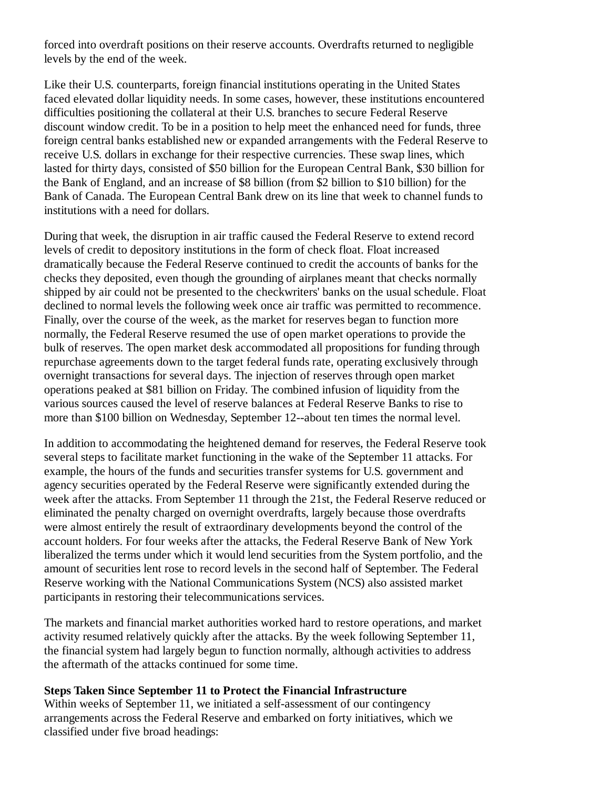forced into overdraft positions on their reserve accounts. Overdrafts returned to negligible levels by the end of the week.

Like their U.S. counterparts, foreign financial institutions operating in the United States faced elevated dollar liquidity needs. In some cases, however, these institutions encountered difficulties positioning the collateral at their U.S. branches to secure Federal Reserve discount window credit. To be in a position to help meet the enhanced need for funds, three foreign central banks established new or expanded arrangements with the Federal Reserve to receive U.S. dollars in exchange for their respective currencies. These swap lines, which lasted for thirty days, consisted of \$50 billion for the European Central Bank, \$30 billion for the Bank of England, and an increase of \$8 billion (from \$2 billion to \$10 billion) for the Bank of Canada. The European Central Bank drew on its line that week to channel funds to institutions with a need for dollars.

During that week, the disruption in air traffic caused the Federal Reserve to extend record levels of credit to depository institutions in the form of check float. Float increased dramatically because the Federal Reserve continued to credit the accounts of banks for the checks they deposited, even though the grounding of airplanes meant that checks normally shipped by air could not be presented to the checkwriters' banks on the usual schedule. Float declined to normal levels the following week once air traffic was permitted to recommence. Finally, over the course of the week, as the market for reserves began to function more normally, the Federal Reserve resumed the use of open market operations to provide the bulk of reserves. The open market desk accommodated all propositions for funding through repurchase agreements down to the target federal funds rate, operating exclusively through overnight transactions for several days. The injection of reserves through open market operations peaked at \$81 billion on Friday. The combined infusion of liquidity from the various sources caused the level of reserve balances at Federal Reserve Banks to rise to more than \$100 billion on Wednesday, September 12--about ten times the normal level.

In addition to accommodating the heightened demand for reserves, the Federal Reserve took several steps to facilitate market functioning in the wake of the September 11 attacks. For example, the hours of the funds and securities transfer systems for U.S. government and agency securities operated by the Federal Reserve were significantly extended during the week after the attacks. From September 11 through the 21st, the Federal Reserve reduced or eliminated the penalty charged on overnight overdrafts, largely because those overdrafts were almost entirely the result of extraordinary developments beyond the control of the account holders. For four weeks after the attacks, the Federal Reserve Bank of New York liberalized the terms under which it would lend securities from the System portfolio, and the amount of securities lent rose to record levels in the second half of September. The Federal Reserve working with the National Communications System (NCS) also assisted market participants in restoring their telecommunications services.

The markets and financial market authorities worked hard to restore operations, and market activity resumed relatively quickly after the attacks. By the week following September 11, the financial system had largely begun to function normally, although activities to address the aftermath of the attacks continued for some time.

#### **Steps Taken Since September 11 to Protect the Financial Infrastructure**

Within weeks of September 11, we initiated a self-assessment of our contingency arrangements across the Federal Reserve and embarked on forty initiatives, which we classified under five broad headings: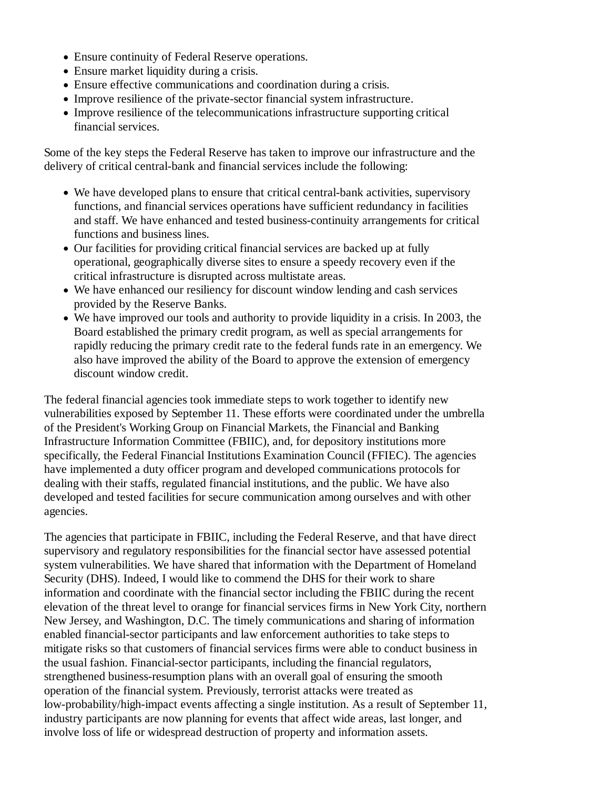- Ensure continuity of Federal Reserve operations.
- Ensure market liquidity during a crisis.
- Ensure effective communications and coordination during a crisis.
- Improve resilience of the private-sector financial system infrastructure.
- Improve resilience of the telecommunications infrastructure supporting critical financial services.

Some of the key steps the Federal Reserve has taken to improve our infrastructure and the delivery of critical central-bank and financial services include the following:

- We have developed plans to ensure that critical central-bank activities, supervisory functions, and financial services operations have sufficient redundancy in facilities and staff. We have enhanced and tested business-continuity arrangements for critical functions and business lines.
- Our facilities for providing critical financial services are backed up at fully operational, geographically diverse sites to ensure a speedy recovery even if the critical infrastructure is disrupted across multistate areas.
- We have enhanced our resiliency for discount window lending and cash services provided by the Reserve Banks.
- We have improved our tools and authority to provide liquidity in a crisis. In 2003, the Board established the primary credit program, as well as special arrangements for rapidly reducing the primary credit rate to the federal funds rate in an emergency. We also have improved the ability of the Board to approve the extension of emergency discount window credit.

The federal financial agencies took immediate steps to work together to identify new vulnerabilities exposed by September 11. These efforts were coordinated under the umbrella of the President's Working Group on Financial Markets, the Financial and Banking Infrastructure Information Committee (FBIIC), and, for depository institutions more specifically, the Federal Financial Institutions Examination Council (FFIEC). The agencies have implemented a duty officer program and developed communications protocols for dealing with their staffs, regulated financial institutions, and the public. We have also developed and tested facilities for secure communication among ourselves and with other agencies.

The agencies that participate in FBIIC, including the Federal Reserve, and that have direct supervisory and regulatory responsibilities for the financial sector have assessed potential system vulnerabilities. We have shared that information with the Department of Homeland Security (DHS). Indeed, I would like to commend the DHS for their work to share information and coordinate with the financial sector including the FBIIC during the recent elevation of the threat level to orange for financial services firms in New York City, northern New Jersey, and Washington, D.C. The timely communications and sharing of information enabled financial-sector participants and law enforcement authorities to take steps to mitigate risks so that customers of financial services firms were able to conduct business in the usual fashion. Financial-sector participants, including the financial regulators, strengthened business-resumption plans with an overall goal of ensuring the smooth operation of the financial system. Previously, terrorist attacks were treated as low-probability/high-impact events affecting a single institution. As a result of September 11, industry participants are now planning for events that affect wide areas, last longer, and involve loss of life or widespread destruction of property and information assets.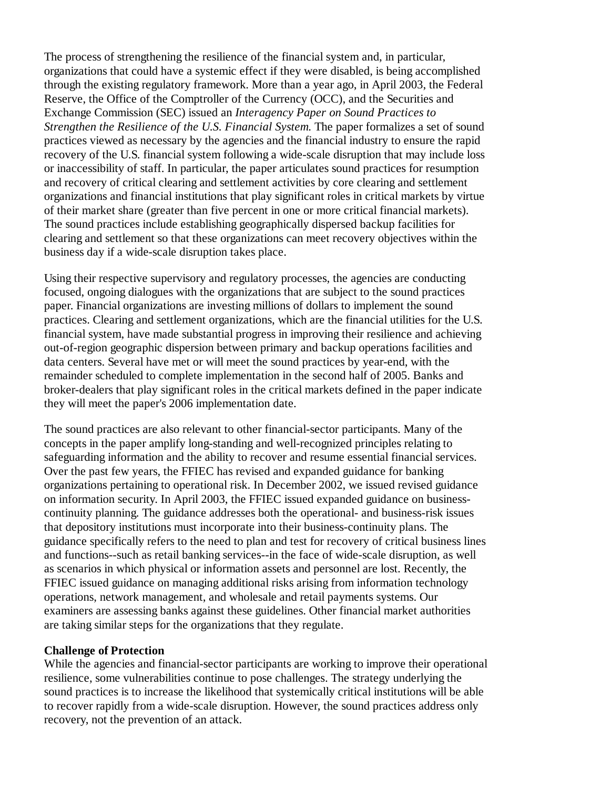The process of strengthening the resilience of the financial system and, in particular, organizations that could have a systemic effect if they were disabled, is being accomplished through the existing regulatory framework. More than a year ago, in April 2003, the Federal Reserve, the Office of the Comptroller of the Currency (OCC), and the Securities and Exchange Commission (SEC) issued an *Interagency Paper on Sound Practices to Strengthen the Resilience of the U.S. Financial System.* The paper formalizes a set of sound practices viewed as necessary by the agencies and the financial industry to ensure the rapid recovery of the U.S. financial system following a wide-scale disruption that may include loss or inaccessibility of staff. In particular, the paper articulates sound practices for resumption and recovery of critical clearing and settlement activities by core clearing and settlement organizations and financial institutions that play significant roles in critical markets by virtue of their market share (greater than five percent in one or more critical financial markets). The sound practices include establishing geographically dispersed backup facilities for clearing and settlement so that these organizations can meet recovery objectives within the business day if a wide-scale disruption takes place.

Using their respective supervisory and regulatory processes, the agencies are conducting focused, ongoing dialogues with the organizations that are subject to the sound practices paper. Financial organizations are investing millions of dollars to implement the sound practices. Clearing and settlement organizations, which are the financial utilities for the U.S. financial system, have made substantial progress in improving their resilience and achieving out-of-region geographic dispersion between primary and backup operations facilities and data centers. Several have met or will meet the sound practices by year-end, with the remainder scheduled to complete implementation in the second half of 2005. Banks and broker-dealers that play significant roles in the critical markets defined in the paper indicate they will meet the paper's 2006 implementation date.

The sound practices are also relevant to other financial-sector participants. Many of the concepts in the paper amplify long-standing and well-recognized principles relating to safeguarding information and the ability to recover and resume essential financial services. Over the past few years, the FFIEC has revised and expanded guidance for banking organizations pertaining to operational risk. In December 2002, we issued revised guidance on information security. In April 2003, the FFIEC issued expanded guidance on businesscontinuity planning. The guidance addresses both the operational- and business-risk issues that depository institutions must incorporate into their business-continuity plans. The guidance specifically refers to the need to plan and test for recovery of critical business lines and functions--such as retail banking services--in the face of wide-scale disruption, as well as scenarios in which physical or information assets and personnel are lost. Recently, the FFIEC issued guidance on managing additional risks arising from information technology operations, network management, and wholesale and retail payments systems. Our examiners are assessing banks against these guidelines. Other financial market authorities are taking similar steps for the organizations that they regulate.

#### **Challenge of Protection**

While the agencies and financial-sector participants are working to improve their operational resilience, some vulnerabilities continue to pose challenges. The strategy underlying the sound practices is to increase the likelihood that systemically critical institutions will be able to recover rapidly from a wide-scale disruption. However, the sound practices address only recovery, not the prevention of an attack.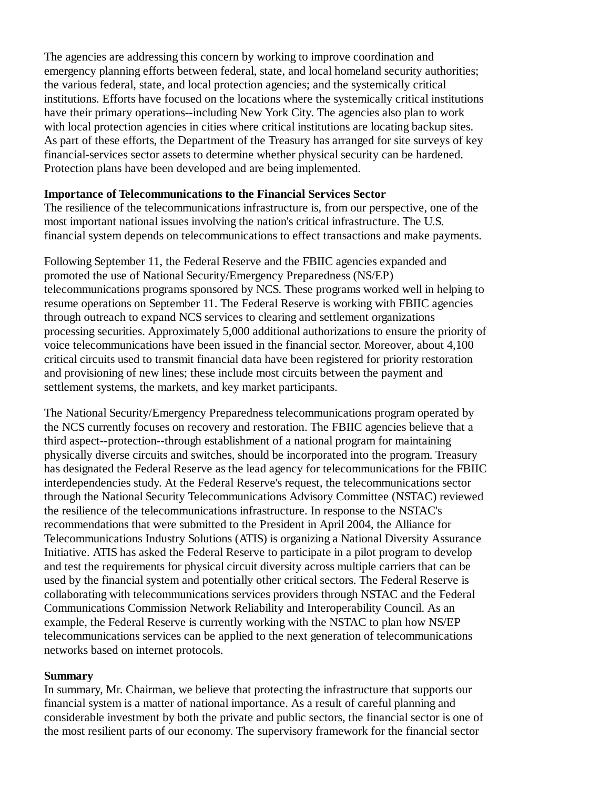The agencies are addressing this concern by working to improve coordination and emergency planning efforts between federal, state, and local homeland security authorities; the various federal, state, and local protection agencies; and the systemically critical institutions. Efforts have focused on the locations where the systemically critical institutions have their primary operations--including New York City. The agencies also plan to work with local protection agencies in cities where critical institutions are locating backup sites. As part of these efforts, the Department of the Treasury has arranged for site surveys of key financial-services sector assets to determine whether physical security can be hardened. Protection plans have been developed and are being implemented.

### **Importance of Telecommunications to the Financial Services Sector**

The resilience of the telecommunications infrastructure is, from our perspective, one of the most important national issues involving the nation's critical infrastructure. The U.S. financial system depends on telecommunications to effect transactions and make payments.

Following September 11, the Federal Reserve and the FBIIC agencies expanded and promoted the use of National Security/Emergency Preparedness (NS/EP) telecommunications programs sponsored by NCS. These programs worked well in helping to resume operations on September 11. The Federal Reserve is working with FBIIC agencies through outreach to expand NCS services to clearing and settlement organizations processing securities. Approximately 5,000 additional authorizations to ensure the priority of voice telecommunications have been issued in the financial sector. Moreover, about 4,100 critical circuits used to transmit financial data have been registered for priority restoration and provisioning of new lines; these include most circuits between the payment and settlement systems, the markets, and key market participants.

The National Security/Emergency Preparedness telecommunications program operated by the NCS currently focuses on recovery and restoration. The FBIIC agencies believe that a third aspect--protection--through establishment of a national program for maintaining physically diverse circuits and switches, should be incorporated into the program. Treasury has designated the Federal Reserve as the lead agency for telecommunications for the FBIIC interdependencies study. At the Federal Reserve's request, the telecommunications sector through the National Security Telecommunications Advisory Committee (NSTAC) reviewed the resilience of the telecommunications infrastructure. In response to the NSTAC's recommendations that were submitted to the President in April 2004, the Alliance for Telecommunications Industry Solutions (ATIS) is organizing a National Diversity Assurance Initiative. ATIS has asked the Federal Reserve to participate in a pilot program to develop and test the requirements for physical circuit diversity across multiple carriers that can be used by the financial system and potentially other critical sectors. The Federal Reserve is collaborating with telecommunications services providers through NSTAC and the Federal Communications Commission Network Reliability and Interoperability Council. As an example, the Federal Reserve is currently working with the NSTAC to plan how NS/EP telecommunications services can be applied to the next generation of telecommunications networks based on internet protocols.

#### **Summary**

In summary, Mr. Chairman, we believe that protecting the infrastructure that supports our financial system is a matter of national importance. As a result of careful planning and considerable investment by both the private and public sectors, the financial sector is one of the most resilient parts of our economy. The supervisory framework for the financial sector